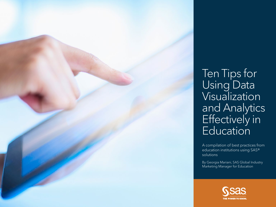A compilation of best practices from education institutions using SAS®



### Ten Tips for Using Data Visualization and Analytics Effectively in **Education**

By Georgia Mariani, SAS Global Industry Marketing Manager for Education

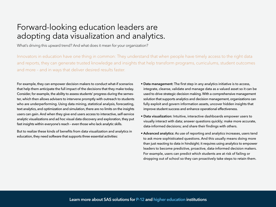#### Forward-looking education leaders are adopting data visualization and analytics.

What's driving this upward trend? And what does it mean for your organization?

Innovators in education have one thing in common: They understand that when people have timely access to the right data and reports, they can generate trusted knowledge and insights that help transform programs, curriculums, student outcomes and more – and in ways that deliver desired results faster.

For example, they can empower decision makers to conduct what-if scenarios that help them anticipate the full impact of the decisions that they make today. Consider, for example, the ability to assess students' progress during the semester, which then allows advisers to intervene promptly with outreach to students who are underperforming. Using data mining, statistical analysis, forecasting, text analytics, and optimization and simulation, there are no limits on the insights users can gain. And when they give end users access to interactive, self-service analytic visualizations and ad hoc visual data discovery and exploration, they put fast insights within everyone's reach – even those who lack analytic skills.

But to realize these kinds of benefits from data visualization and analytics in education, they need software that supports three essential activities:

- Data management: The first step in any analytics initiative is to access, integrate, cleanse, validate and manage data as a valued asset so it can be used to drive strategic decision making. With a comprehensive management solution that supports analytics and decision management, organizations can fully exploit and govern information assets, uncover hidden insights that improve student success and enhance operational effectiveness.
- Data visualization: Intuitive, interactive dashboards empower users to visually interact with data; answer questions quickly; make more accurate, data-informed decisions; and share their findings with others.
- Advanced analytics: As use of reporting and analytics increases, users tend to ask more sophisticated questions. And this usually means doing more than just reacting to data in hindsight; it requires using analytics to empower leaders to become predictive, proactive, data-informed decision makers. For example, users can predict which students are at risk of failing or dropping out of school so they can proactively take steps to retain them.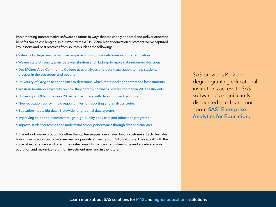SAS provides P-12 and degree-granting educational institutions access to SAS software at a significantly discounted rate. Learn more about SAS® Enterprise [Analytics for Education](http://www.sas.com/en_us/industry/higher-education/enterprise-analytics-for-education.html).

Implementing transformative software solutions in ways that are widely adopted and deliver expected benefits can be challenging. In our work with SAS P-12 and higher education customers, we've captured key lessons and best practices from sources such as the following:

- • [Valencia College](http://www.sas.com/en_us/customers/valencia-college.html) uses data-driven approach to improve outcomes in higher education
- • [Wayne State University](http://www.sas.com/en_us/customers/wayne-state.html) pairs data visualization and Hadoop to make data-informed decisions
- [Des Moines Area Community College](http://www.sas.com/en_us/customers/des-moines-area-community-college.html) uses analytics and data visualization to help students prosper in the classroom and beyond
- [University of Oregon](http://www.sas.com/en_us/customers/university-of-oregon.html) uses analytics to determine which merit packages attract the best students
- • [Western Kentucky University](http://blogs.sas.com/content/sascom/2016/05/31/22944/) on how they determine what's best for more than 20,000 students
- [University of Oklahoma](http://blogs.sas.com/content/sascom/2016/04/08/data-informed-recruiting/) sees 90 percent accuracy with data-informed recruiting
- [New education policy](http://blogs.sas.com/content/sascom/tag/essa/) = new opportunities for reporting and analytics series
- [Education meets big data:](http://blogs.sas.com/content/sascom/tag/p-20w/) Statewide longitudinal data systems
- [Improving student outcomes](http://www.sas.com/content/dam/SAS/en_us/doc/solutionbrief/education-improve-student-outcomes-through-early-learning-108179.pdf) through high-quality early care and education programs
- [Improve student outcomes](http://www.sas.com/content/dam/SAS/en_us/doc/solutionbrief/improve-student-outcomes-understand-school-performance-108372.pdf) and understand school performance through data and analytics

In this e-book, we've brought together the top ten suggestions shared by our customers. Each illustrates how our education customers are realizing significant value from SAS solutions. They speak with the voice of experience – and offer time-tested insights that can help streamline and accelerate your evolution and maximize return on investment now and in the future.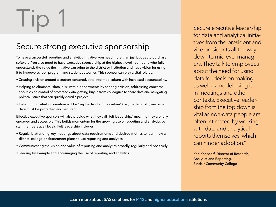To have a successful reporting and analytics initiative, you need more than just budget to purchase software. You also need to have executive sponsorship at the highest level – someone who fully understands the value the initiative can bring to the district or institution and has a vision for using it to improve school, program and student outcomes. This sponsor can play a vital role by:

- Creating a vision around a student-centered, data-informed culture with increased accountability.
- Helping to eliminate "data jails" within departments by sharing a vision, addressing concerns about losing control of protected data, getting buy-in from colleagues to share data and navigating political issues that can quickly derail a project.
- Determining what information will be "kept in front of the curtain" (i.e., made public) and what data must be protected and secured.

Effective executive sponsors will also provide what they call "felt leadership," meaning they are fully engaged and accessible. This builds momentum for the growing use of reporting and analytics by staff members at all levels. Felt leadership includes:

- Regularly attending key meetings about data requirements and desired metrics to learn how a district, college or department plans to use reporting and analytics.
- Communicating the vision and value of reporting and analytics broadly, regularly and positively.
- Leading by example and encouraging the use of reporting and analytics.

for data and analytical initiatives from the president and vice presidents all the way down to midlevel managers. They talk to employees about the need for using data for decision making, as well as model using it in meetings and other contexts. Executive leadership from the top down is vital as non-data people are often intimated by working with data and analytical reports themselves, which can hinder adoption."

Karl Konsdorf, Director of Research, Analytics and Reporting, Sinclair Community College

### Tip 1 2001

#### Secure strong executive sponsorship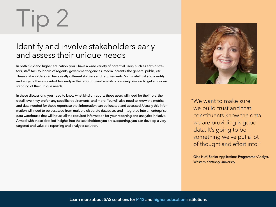In both K-12 and higher education, you'll have a wide variety of potential users, such as administrators, staff, faculty, board of regents, government agencies, media, parents, the general public, etc. These stakeholders can have vastly different skill sets and requirements. So it's vital that you identify and engage these stakeholders early in the reporting and analytics planning process to get an understanding of their unique needs.

In these discussions, you need to know what kind of reports these users will need for their role, the detail level they prefer, any specific requirements, and more. You will also need to know the metrics and data needed for those reports so that information can be located and accessed. Usually this information will need to be accessed from multiple disparate databases and integrated into an enterprise data warehouse that will house all the required information for your reporting and analytics initiative. Armed with these detailed insights into the stakeholders you are supporting, you can develop a very targeted and valuable reporting and analytics solution.



# Tip 2

"We want to make sure we build trust and that constituents know the data we are providing is good data. It's going to be something we've put a lot of thought and effort into."

Gina Huff, Senior Applications Programmer Analyst, Western Kentucky University

#### Identify and involve stakeholders early and assess their unique needs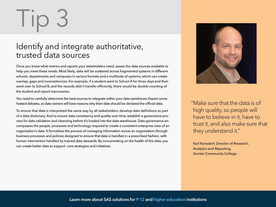Once you know what metrics and reports your stakeholders need, assess the data sources available to help you meet these needs. Most likely, data will be scattered across fragmented systems in different schools, departments and campuses in various formats and a multitude of systems, which can create overlap, gaps and inconsistencies. For example, if a student went to School A for three days and then went over to School B, and the records didn't transfer efficiently, there would be double-counting of the student and report inaccuracies.

You need to carefully determine the best sources to integrate within your data warehouse. Expect some heated debates, as data owners will have reasons why their data should be declared the official data.

To ensure that data is interpreted the same way by all stakeholders, develop data definitions as part of a data dictionary. And to ensure data consistency and quality over time, establish a governance process for data validation and cleansing before it's loaded into the data warehouse. Data governance encompasses the people, processes and technology required to create a consistent enterprise view of an organization's data. It formalizes the process of managing information across an organization through business processes and policies designed to ensure that data is handled in a prescribed fashion, with human intervention handled by trained data stewards. By concentrating on the health of the data, you can create better data to support core strategies and initiatives.



## Tip 3

#### Identify and integrate authoritative, trusted data sources

"Make sure that the data is of high quality, so people will have to believe in it, have to trust it, and also make sure that they understand it."

Karl Konsdorf, Director of Research, Sinclair Community College

Analytics and Reporting,

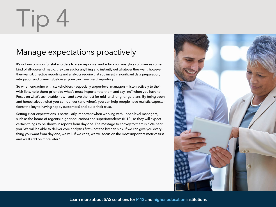It's not uncommon for stakeholders to view reporting and education analytics software as some kind of all-powerful magic; they can ask for anything and instantly get whatever they want, however they want it. Effective reporting and analytics require that you invest in significant data preparation, integration and planning before anyone can have useful reporting.

So when engaging with stakeholders – especially upper-level managers – listen actively to their wish lists, help them prioritize what's most important to them and say "no" when you have to. Focus on what's achievable now – and save the rest for mid- and long-range plans. By being open and honest about what you can deliver (and when), you can help people have realistic expectations (the key to having happy customers) and build their trust.

Setting clear expectations is particularly important when working with upper-level managers, such as the board of regents (higher education) and superintendents (K-12), as they will expect certain things to be shown in reports from day one. The message to convey to them is, "We hear you. We will be able to deliver core analytics first – not the kitchen sink. If we can give you everything you want from day one, we will. If we can't, we will focus on the most important metrics first and we'll add on more later."



### $\overline{\phantom{a}}$

### Manage expectations proactively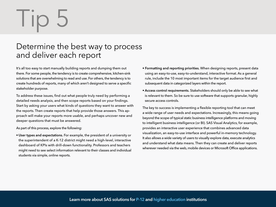It's all too easy to start manually building reports and dumping them out there. For some people, the tendency is to create comprehensive, kitchen-sink solutions that are overwhelming to read and use. For others, the tendency is to create hundreds of reports, many of which aren't designed to serve a specific stakeholder purpose.

To address these issues, find out what people truly need by performing a detailed needs analysis, and then scope reports based on your findings. Start by asking your users what kinds of questions they want to answer with the reports. Then create reports that help provide those answers. This approach will make your reports more usable, and perhaps uncover new and deeper questions that must be answered.

As part of this process, explore the following:

• User types and expectations. For example, the president of a university or the superintendent of a K-12 district might need a high-level, interactive dashboard of KPIs with drill-down functionality. Professors and teachers might need to see select information relevant to their classes and individual students via simple, online reports.

### I IC

#### Determine the best way to process and deliver each report

- Formatting and reporting priorities. When designing reports, present data using an easy-to-use, easy-to-understand, interactive format. As a general rule, include the 10 most important items for the target audience first and subsequent data in categorized layers within the report.
- Access control requirements. Stakeholders should only be able to see what is relevant to them. So be sure to use software that supports granular, highly secure access controls.

The key to success is implementing a flexible reporting tool that can meet a wide range of user needs and expectations. Increasingly, this means going beyond the scope of typical static business intelligence platforms and moving to intelligent business intelligence (or BI). SAS Visual Analytics, for example, provides an interactive user experience that combines advanced data visualization, an easy-to-use interface and powerful in-memory technology. It also allows a wide variety of users to visually explore data, execute analytics and understand what data means. Then they can create and deliver reports wherever needed via the web, mobile devices or Microsoft Office applications.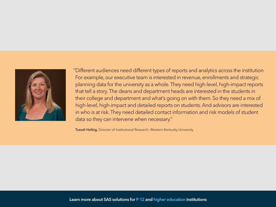

"Different audiences need different types of reports and analytics across the institution. For example, our executive team is interested in revenue, enrollments and strategic planning data for the university as a whole. They need high-level, high-impact reports that tell a story. The deans and department heads are interested in the students in their college and department and what's going on with them. So they need a mix of high-level, high-impact and detailed reports on students. And advisors are interested in who is at risk. They need detailed contact information and risk models of student data so they can intervene when necessary."

Tuesdi Helbig, Director of Institutional Research, Western Kentucky University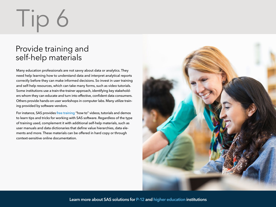Many education professionals are not savvy about data or analytics. They need help learning how to understand data and interpret analytical reports correctly before they can make informed decisions. So invest in user training and self-help resources, which can take many forms, such as video tutorials. Some institutions use a train-the-trainer approach, identifying key stakeholders whom they can educate and turn into effective, confident data consumers. Others provide hands-on user workshops in computer labs. Many utilize training provided by software vendors.

For instance, SAS provides [free training](http://support.sas.com/training/tutorial/#s1=2) "how to" videos, tutorials and demos to learn tips and tricks for working with SAS software. Regardless of the type of training used, complement it with additional self-help materials, such as user manuals and data dictionaries that define value hierarchies, data elements and more. These materials can be offered in hard copy or through context-sensitive online documentation.



### Tip 6

#### Provide training and self-help materials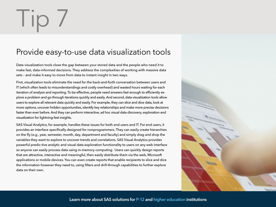Data visualization tools close the gap between your stored data and the people who need it to make fast, data-informed decisions. They address the complexities of working with massive data sets – and make it easy to move from data to instant insight in two ways.

First, visualization tools eliminate the need for the back-and-forth conversation between users and IT (which often leads to misunderstandings and costly overhead) and wasted hours waiting for each iteration of analysis and reporting. To be effective, people need answers fast enough to efficiently explore a problem and go through iterations quickly and easily. And second, data visualization tools allow users to explore all relevant data quickly and easily. For example, they can slice and dice data, look at more options, uncover hidden opportunities, identify key relationships and make more precise decisions faster than ever before. And they can perform interactive, ad hoc visual data discovery, exploration and visualization for lightning-fast insights.

SAS Visual Analytics, for example, handles these issues for both end users and IT. For end users, it provides an interface specifically designed for nonprogrammers. They can easily create hierarchies on the fly (e.g., year, semester, month, day, department and faculty) and simply drag and drop the variables they want to explore to uncover trends and correlations. SAS Visual Analytics provides powerful predic-tive analytic and visual data exploration functionality to users on any web interface so anyone can easily process data using in-memory computing. Users can quickly design reports that are attractive, interactive and meaningful, then easily distribute them via the web, Microsoft applications or mobile devices. You can even create reports that enable recipients to slice and dice the information however they need to, using filters and drill-through capabilities to further explore data on their own.

### Tip 7

#### Provide easy-to-use data visualization tools



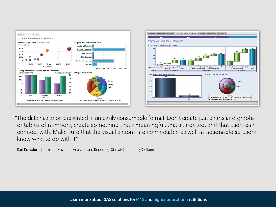

"The data has to be presented in an easily consumable format. Don't create just charts and graphs or tables of numbers, create something that's meaningful, that's targeted, and that users can connect with. Make sure that the visualizations are connectable as well as actionable so users know what to do with it."

Karl Konsdorf, Director of Research, Analytics and Reporting, Sinclair Community College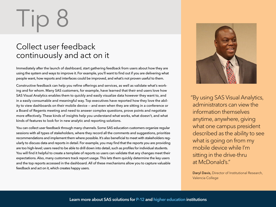Immediately after the launch of dashboard, start gathering feedback from users about how they are using the system and ways to improve it. For example, you'll want to find out if you are delivering what people want, how reports and interfaces could be improved, and what's not proven useful to them.

Constructive feedback can help you refine offerings and services, as well as validate what's working and for whom. Many SAS customers, for example, have learned that their end users love how SAS Visual Analytics enables them to quickly and easily visualize data however they want to, and in a easily consumable and meaningful way. Top executives have reported how they love the ability to view dashboards on their mobile device -- and even when they are sitting in a conference or a Board of Regents meeting and need to answer complex questions, prove points and negotiate more effectively. These kinds of insights help you understand what works, what doesn't, and what kinds of features to look for in new analytic and reporting solutions.

You can collect user feedback through many channels. Some SAS education customers organize regular sessions with all types of stakeholders, where they record all the comments and suggestions, prioritize recommendations and implement them where possible. It's also beneficial to meet with stakeholders regularly to discuss data and reports in detail. For example, you may find that the reports you are providing are too high-level; users need to be able to drill down into detail, such as profiles for individual students. You will find it helpful to create a template of reports so users can validate that any changes meet their expectations. Also, many customers track report usage. This lets them quickly determine the key users and the top reports accessed in the dashboard. All of these mechanisms allow you to capture valuable feedback and act on it, which creates happy users.



"By using SAS Visual Analytics, administrators can view the information themselves anytime, anywhere, giving what one campus president described as the ability to see what is going on from my mobile device while I'm sitting in the drive-thru at McDonald's."

Daryl Davis, Director of Institutional Research, Valencia College

## $\overline{\phantom{a}}$

#### Collect user feedback continuously and act on it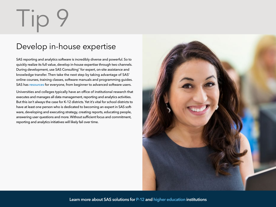SAS reporting and analytics software is incredibly diverse and powerful. So to quickly realize its full value, develop in-house expertise through two channels. During development, use SAS Consulting<sup>®</sup> for expert, on-site assistance and knowledge transfer. Then take the next step by taking advantage of SAS' online courses, training classes, software manuals and programming guides. SAS has [resources](http://support.sas.com/training/index.html) for everyone, from beginner to advanced software users.

Universities and colleges typically have an office of institutional research that executes and manages all data management, reporting and analytics activities. But this isn't always the case for K-12 districts. Yet it's vital for school districts to have at least one person who is dedicated to becoming an expert in SAS software, developing and executing strategy, creating reports, educating people, answering user questions and more. Without sufficient focus and commitment, reporting and analytics initiatives will likely fail over time.



# $\overline{\phantom{a}}$   $\overline{\phantom{a}}$

#### Develop in-house expertise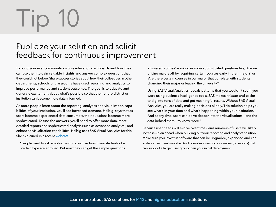To build your user community, discuss education dashboards and how they can use them to gain valuable insights and answer complex questions that they could not before. Share success stories about how their colleagues in other departments, schools or classrooms have used reporting and analytics to improve performance and student outcomes. The goal is to educate and generate excitement about what's possible so that their entire district or institution can become more data-informed.

As more people learn about the reporting, analytics and visualization capabilities of your institution, you'll see increased demand. Helbig, says that as users become experienced data consumers, their questions become more sophisticated. To find the answers, you'll need to offer more data, more detailed reports and sophisticated analysis (such as advanced analytics), and enhanced visualization capabilities. Helbig uses SAS Visual Analytics for this. She explained in a recent [webcast](http://www.sas.com/apps/webnet/webcast_viewer.htm?index=wc_sa13jul15bca):

 "People used to ask simple questions, such as how many students of a certain type are enrolled. But now they can get the simple questions

### Tip 10

#### Publicize your solution and solicit feedback for continuous improvement

 answered, so they're asking us more sophisticated questions like, 'Are we driving majors off by requiring certain courses early in their major?' or 'Are there certain courses in our major that correlate with students changing their major or leaving the university?

 Using SAS Visual Analytics reveals patterns that you wouldn't see if you were using business intelligence tools. SAS makes it faster and easier to dig into tons of data and get meaningful results. Without SAS Visual Analytics, you are really making decisions blindly. This solution helps you see what's in your data and what's happening within your institution. And at any time, users can delve deeper into the visualizations – and the data behind them – to know more."

Because user needs will evolve over time – and numbers of users will likely increase – plan ahead when building out your reporting and analytics solution. Make sure you invest in software that can be upgraded, expanded and can scale as user needs evolve. And consider investing in a server (or servers) that can support a larger user group than your initial deployment.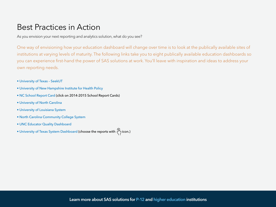#### Best Practices in Action

As you envision your next reporting and analytics solution, what do you see?

One way of envisioning how your education dashboard will change over time is to look at the publically available sites of institutions at varying levels of maturity. The following links take you to eight publically available education dashboards so you can experience first-hand the power of SAS solutions at work. You'll leave with inspiration and ideas to address your own reporting needs.

- [University of Texas SeekUT](http://www.utsystem.edu/seekut/)
- [University of New Hampshire Institute for Health Policy](http://www.nhaccountablecare.org/)
- [NC School Report Card](http://www.ncpublicschools.org/src/) (click on 2014-2015 School Report Cards)
- [University of North Carolina](http://www.northcarolina.edu/?q=content/unc-data-dashboard)
- [University of Louisiana System](http://www.ulsystem.edu/sas)
- [North Carolina Community College System](http://www.nccommunitycolleges.edu/analytics)
- [UNC Educator Quality Dashboard](http://eqdashboard.northcarolina.edu/)
- [University of Texas System Dashboard](http://dashboard.utsystem.edu/) (choose the reports with  $\binom{n}{1}$  icon.)